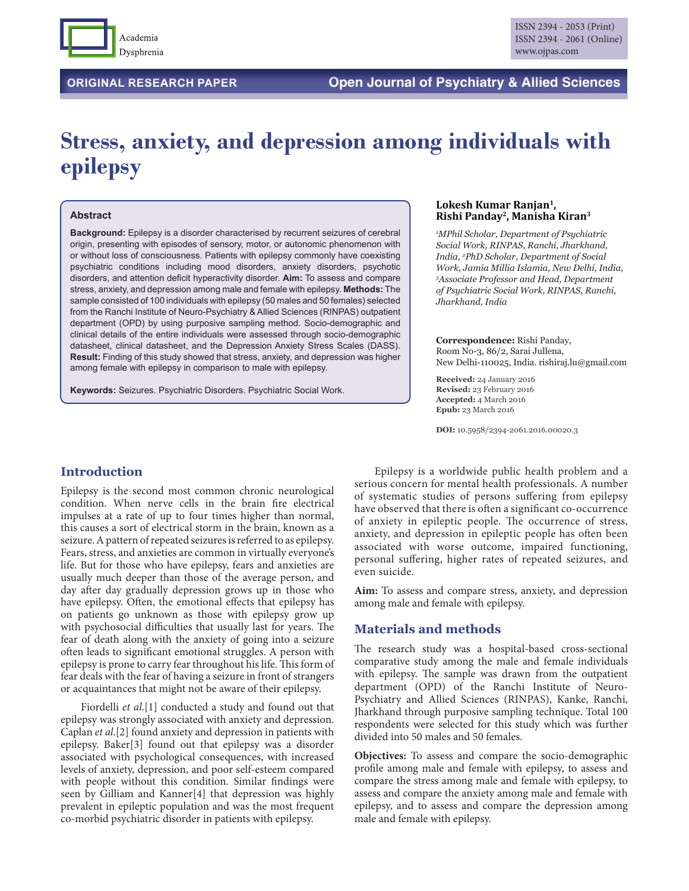

# **Stress, anxiety, and depression among individuals with epilepsy**

#### **Abstract**

**Background:** Epilepsy is a disorder characterised by recurrent seizures of cerebral origin, presenting with episodes of sensory, motor, or autonomic phenomenon with or without loss of consciousness. Patients with epilepsy commonly have coexisting psychiatric conditions including mood disorders, anxiety disorders, psychotic disorders, and attention deficit hyperactivity disorder. **Aim:** To assess and compare stress, anxiety, and depression among male and female with epilepsy. **Methods:** The sample consisted of 100 individuals with epilepsy (50 males and 50 females) selected from the Ranchi Institute of Neuro-Psychiatry & Allied Sciences (RINPAS) outpatient department (OPD) by using purposive sampling method. Socio-demographic and clinical details of the entire individuals were assessed through socio-demographic datasheet, clinical datasheet, and the Depression Anxiety Stress Scales (DASS). **Result:** Finding of this study showed that stress, anxiety, and depression was higher among female with epilepsy in comparison to male with epilepsy.

**Keywords:** Seizures. Psychiatric Disorders. Psychiatric Social Work.

#### **Lokesh Kumar Ranjan1, Rishi Panday2, Manisha Kiran3**

*1 MPhil Scholar, Department of Psychiatric Social Work, RINPAS, Ranchi, Jharkhand, India, 2 PhD Scholar, Department of Social Work, Jamia Millia Islamia, New Delhi, India, 3 Associate Professor and Head, Department of Psychiatric Social Work, RINPAS, Ranchi, Jharkhand, India*

#### **Correspondence:** Rishi Panday,

Room No-3, 86/2, Sarai Jullena, New Delhi-110025, India. rishiraj.lu@gmail.com

**Received:** 24 January 2016 **Revised:** 23 February 2016 **Accepted:** 4 March 2016 **Epub:** 23 March 2016

**DOI:** 10.5958/2394-2061.2016.00020.3

# **Introduction**

Epilepsy is the second most common chronic neurological condition. When nerve cells in the brain fire electrical impulses at a rate of up to four times higher than normal, this causes a sort of electrical storm in the brain, known as a seizure. A pattern of repeated seizures is referred to as epilepsy. Fears, stress, and anxieties are common in virtually everyone's life. But for those who have epilepsy, fears and anxieties are usually much deeper than those of the average person, and day after day gradually depression grows up in those who have epilepsy. Often, the emotional effects that epilepsy has on patients go unknown as those with epilepsy grow up with psychosocial difficulties that usually last for years. The fear of death along with the anxiety of going into a seizure often leads to significant emotional struggles. A person with epilepsy is prone to carry fear throughout his life. This form of fear deals with the fear of having a seizure in front of strangers or acquaintances that might not be aware of their epilepsy.

Fiordelli *et al*.[1] conducted a study and found out that epilepsy was strongly associated with anxiety and depression. Caplan *et al*.[2] found anxiety and depression in patients with epilepsy. Baker[3] found out that epilepsy was a disorder associated with psychological consequences, with increased levels of anxiety, depression, and poor self-esteem compared with people without this condition. Similar findings were seen by Gilliam and Kanner[4] that depression was highly prevalent in epileptic population and was the most frequent co-morbid psychiatric disorder in patients with epilepsy.

Epilepsy is a worldwide public health problem and a serious concern for mental health professionals. A number of systematic studies of persons suffering from epilepsy have observed that there is often a significant co-occurrence of anxiety in epileptic people. The occurrence of stress, anxiety, and depression in epileptic people has often been associated with worse outcome, impaired functioning, personal suffering, higher rates of repeated seizures, and even suicide.

**Aim:** To assess and compare stress, anxiety, and depression among male and female with epilepsy.

# **Materials and methods**

The research study was a hospital-based cross-sectional comparative study among the male and female individuals with epilepsy. The sample was drawn from the outpatient department (OPD) of the Ranchi Institute of Neuro-Psychiatry and Allied Sciences (RINPAS), Kanke, Ranchi, Jharkhand through purposive sampling technique. Total 100 respondents were selected for this study which was further divided into 50 males and 50 females.

**Objectives:** To assess and compare the socio-demographic profile among male and female with epilepsy, to assess and compare the stress among male and female with epilepsy, to assess and compare the anxiety among male and female with epilepsy, and to assess and compare the depression among male and female with epilepsy.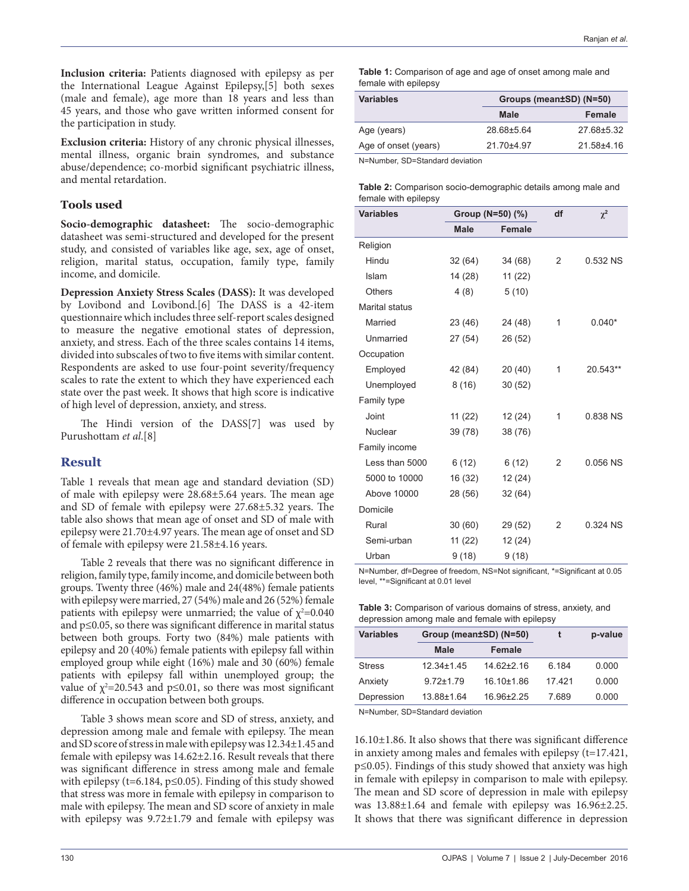**Inclusion criteria:** Patients diagnosed with epilepsy as per the International League Against Epilepsy,[5] both sexes (male and female), age more than 18 years and less than 45 years, and those who gave written informed consent for the participation in study.

**Exclusion criteria:** History of any chronic physical illnesses, mental illness, organic brain syndromes, and substance abuse/dependence; co-morbid significant psychiatric illness, and mental retardation.

## **Tools used**

**Socio-demographic datasheet:** The socio-demographic datasheet was semi-structured and developed for the present study, and consisted of variables like age, sex, age of onset, religion, marital status, occupation, family type, family income, and domicile.

**Depression Anxiety Stress Scales (DASS):** It was developed by Lovibond and Lovibond.[6] The DASS is a 42-item questionnaire which includes three self-report scales designed to measure the negative emotional states of depression, anxiety, and stress. Each of the three scales contains 14 items, divided into subscales of two to five items with similar content. Respondents are asked to use four-point severity/frequency scales to rate the extent to which they have experienced each state over the past week. It shows that high score is indicative of high level of depression, anxiety, and stress.

The Hindi version of the DASS[7] was used by Purushottam *et al*.[8]

# **Result**

Table 1 reveals that mean age and standard deviation (SD) of male with epilepsy were 28.68±5.64 years. The mean age and SD of female with epilepsy were 27.68±5.32 years. The table also shows that mean age of onset and SD of male with epilepsy were 21.70±4.97 years. The mean age of onset and SD of female with epilepsy were 21.58±4.16 years.

Table 2 reveals that there was no significant difference in religion, family type, family income, and domicile between both groups. Twenty three (46%) male and 24(48%) female patients with epilepsy were married, 27 (54%) male and 26 (52%) female patients with epilepsy were unmarried; the value of  $\chi^2$ =0.040 and p≤0.05, so there was significant difference in marital status between both groups. Forty two (84%) male patients with epilepsy and 20 (40%) female patients with epilepsy fall within employed group while eight (16%) male and 30 (60%) female patients with epilepsy fall within unemployed group; the value of  $\chi^2$ =20.543 and p≤0.01, so there was most significant difference in occupation between both groups.

Table 3 shows mean score and SD of stress, anxiety, and depression among male and female with epilepsy. The mean and SD score of stress in male with epilepsy was 12.34±1.45 and female with epilepsy was 14.62±2.16. Result reveals that there was significant difference in stress among male and female with epilepsy (t=6.184,  $p \le 0.05$ ). Finding of this study showed that stress was more in female with epilepsy in comparison to male with epilepsy. The mean and SD score of anxiety in male with epilepsy was  $9.72 \pm 1.79$  and female with epilepsy was

**Table 1:** Comparison of age and age of onset among male and female with epilepsy

| <b>Variables</b>     |                | Groups (mean±SD) (N=50) |  |  |
|----------------------|----------------|-------------------------|--|--|
|                      | <b>Male</b>    | Female                  |  |  |
| Age (years)          | 28.68±5.64     | 27.68±5.32              |  |  |
| Age of onset (years) | $21.70 + 4.97$ | 21.58±4.16              |  |  |
|                      |                |                         |  |  |

N=Number, SD=Standard deviation

| <b>Table 2:</b> Comparison socio-demographic details among male and |  |
|---------------------------------------------------------------------|--|
| female with epilepsy                                                |  |

| <b>Variables</b>      | Group (N=50) (%) |               | df | $\chi^2$ |
|-----------------------|------------------|---------------|----|----------|
|                       | <b>Male</b>      | <b>Female</b> |    |          |
| Religion              |                  |               |    |          |
| Hindu                 | 32(64)           | 34 (68)       | 2  | 0.532 NS |
| Islam                 | 14 (28)          | 11(22)        |    |          |
| <b>Others</b>         | 4(8)             | 5(10)         |    |          |
| <b>Marital status</b> |                  |               |    |          |
| Married               | 23 (46)          | 24 (48)       | 1  | $0.040*$ |
| Unmarried             | 27(54)           | 26 (52)       |    |          |
| Occupation            |                  |               |    |          |
| Employed              | 42 (84)          | 20(40)        | 1  | 20.543** |
| Unemployed            | 8(16)            | 30(52)        |    |          |
| Family type           |                  |               |    |          |
| Joint                 | 11(22)           | 12 (24)       | 1  | 0.838 NS |
| Nuclear               | 39 (78)          | 38 (76)       |    |          |
| Family income         |                  |               |    |          |
| Less than 5000        | 6(12)            | 6(12)         | 2  | 0.056 NS |
| 5000 to 10000         | 16 (32)          | 12 (24)       |    |          |
| <b>Above 10000</b>    | 28 (56)          | 32 (64)       |    |          |
| Domicile              |                  |               |    |          |
| Rural                 | 30(60)           | 29 (52)       | 2  | 0.324 NS |
| Semi-urban            | 11(22)           | 12 (24)       |    |          |
| Urban                 | 9(18)            | 9(18)         |    |          |

N=Number, df=Degree of freedom, NS=Not significant, \*=Significant at 0.05 level, \*\*=Significant at 0.01 level

| <b>Table 3:</b> Comparison of various domains of stress, anxiety, and |
|-----------------------------------------------------------------------|
| depression among male and female with epilepsy                        |

| <b>Variables</b> |                  | Group (mean±SD) (N=50) |       | p-value |
|------------------|------------------|------------------------|-------|---------|
|                  | <b>Male</b>      | Female                 |       |         |
| <b>Stress</b>    | $12.34 \pm 1.45$ | $14.62 \pm 2.16$       | 6 184 | 0.000   |
| Anxiety          | $972+179$        | 16.10±1.86             | 17421 | 0.000   |
| Depression       | 13.88±1.64       | 16.96±2.25             | 7 689 | 0.000   |

N=Number, SD=Standard deviation

16.10±1.86. It also shows that there was significant difference in anxiety among males and females with epilepsy (t=17.421, p≤0.05). Findings of this study showed that anxiety was high in female with epilepsy in comparison to male with epilepsy. The mean and SD score of depression in male with epilepsy was 13.88±1.64 and female with epilepsy was 16.96±2.25. It shows that there was significant difference in depression